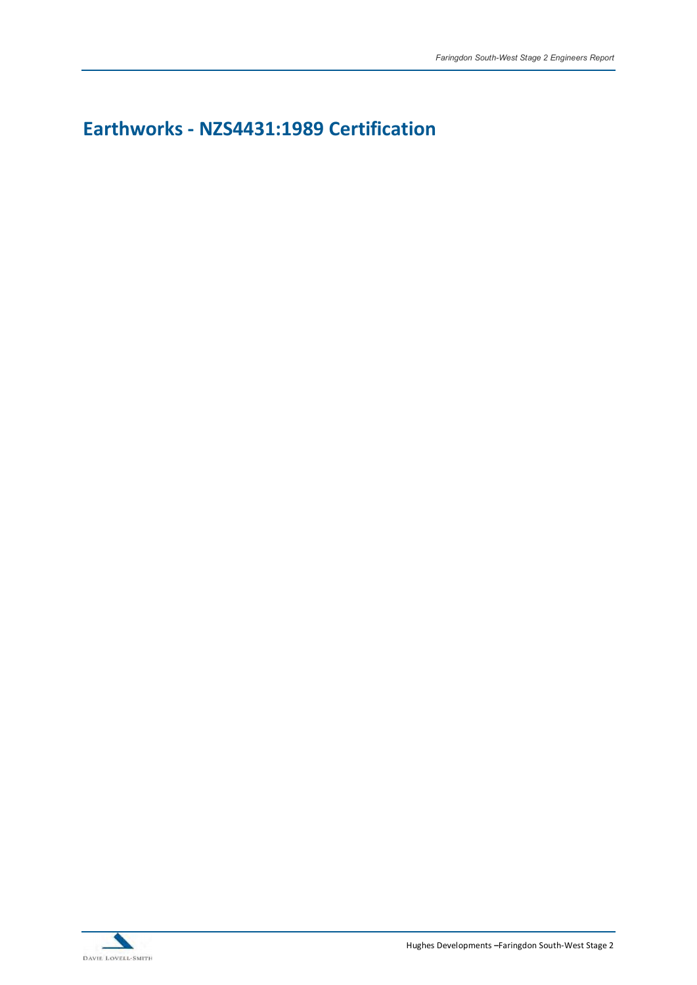## Earthworks - NZS4431:1989 Certification

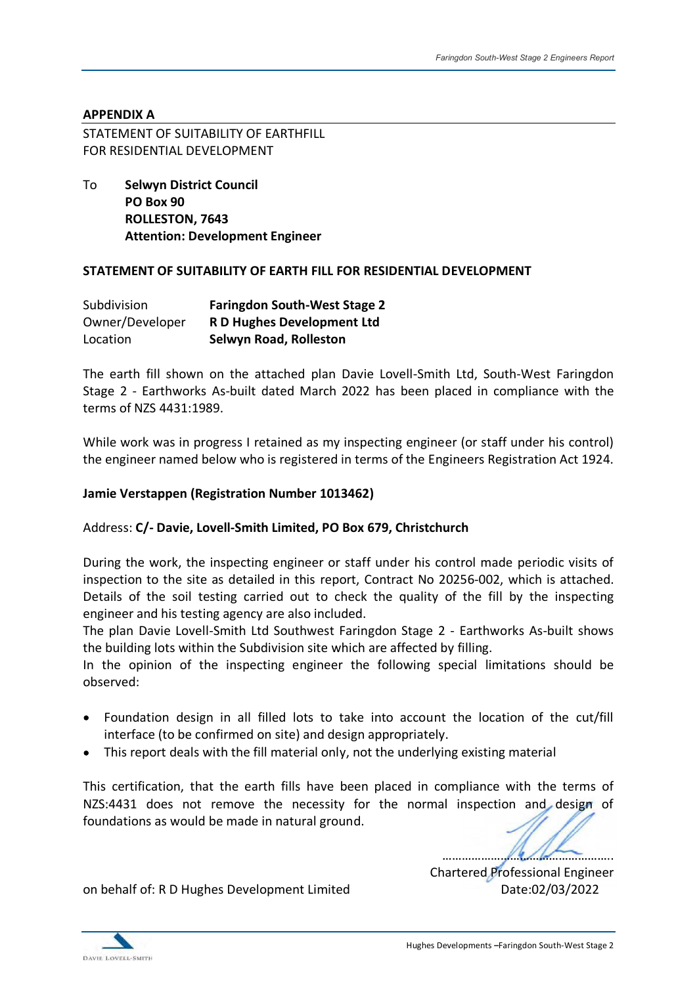### APPENDIX A

STATEMENT OF SUITABILITY OF EARTHFILL FOR RESIDENTIAL DEVELOPMENT

To Selwyn District Council PO Box 90 ROLLESTON, 7643 Attention: Development Engineer

#### STATEMENT OF SUITABILITY OF EARTH FILL FOR RESIDENTIAL DEVELOPMENT

| Subdivision     | <b>Faringdon South-West Stage 2</b> |
|-----------------|-------------------------------------|
| Owner/Developer | R D Hughes Development Ltd          |
| Location        | <b>Selwyn Road, Rolleston</b>       |

The earth fill shown on the attached plan Davie Lovell-Smith Ltd, South-West Faringdon Stage 2 - Earthworks As-built dated March 2022 has been placed in compliance with the terms of NZS 4431:1989.

While work was in progress I retained as my inspecting engineer (or staff under his control) the engineer named below who is registered in terms of the Engineers Registration Act 1924.

#### Jamie Verstappen (Registration Number 1013462)

#### Address: C/- Davie, Lovell-Smith Limited, PO Box 679, Christchurch

During the work, the inspecting engineer or staff under his control made periodic visits of inspection to the site as detailed in this report, Contract No 20256-002, which is attached. Details of the soil testing carried out to check the quality of the fill by the inspecting engineer and his testing agency are also included.

The plan Davie Lovell-Smith Ltd Southwest Faringdon Stage 2 - Earthworks As-built shows the building lots within the Subdivision site which are affected by filling.

In the opinion of the inspecting engineer the following special limitations should be observed:

- Foundation design in all filled lots to take into account the location of the cut/fill interface (to be confirmed on site) and design appropriately.
- This report deals with the fill material only, not the underlying existing material

This certification, that the earth fills have been placed in compliance with the terms of NZS:4431 does not remove the necessity for the normal inspection and design of foundations as would be made in natural ground.

Chartered Professional Engineer

on behalf of: R D Hughes Development Limited Date:02/03/2022

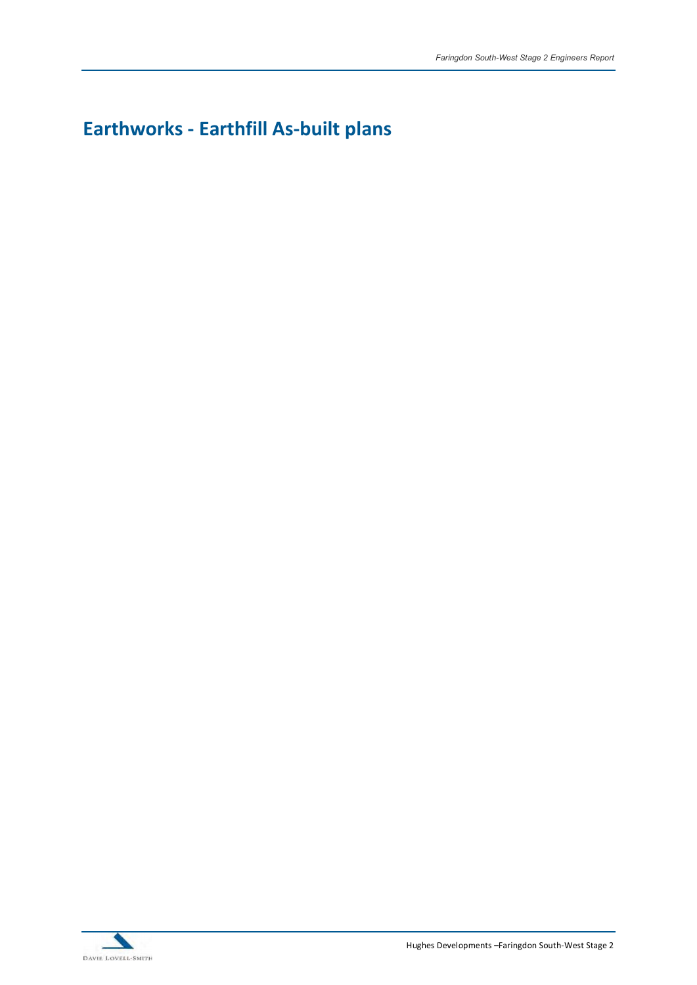# Earthworks - Earthfill As-built plans



Hughes Developments - Faringdon South-West Stage 2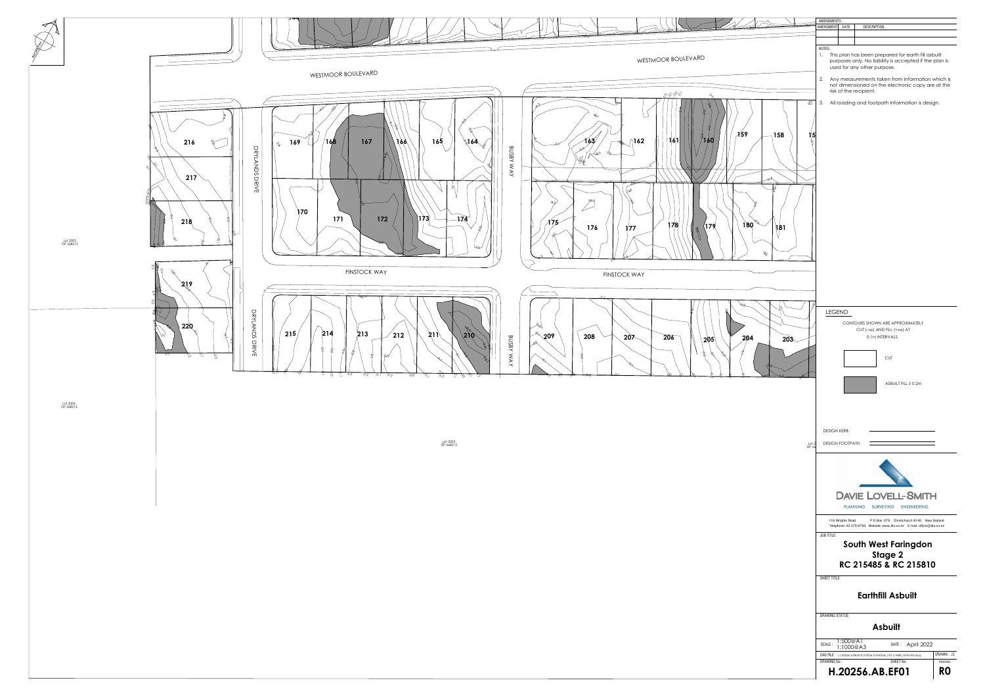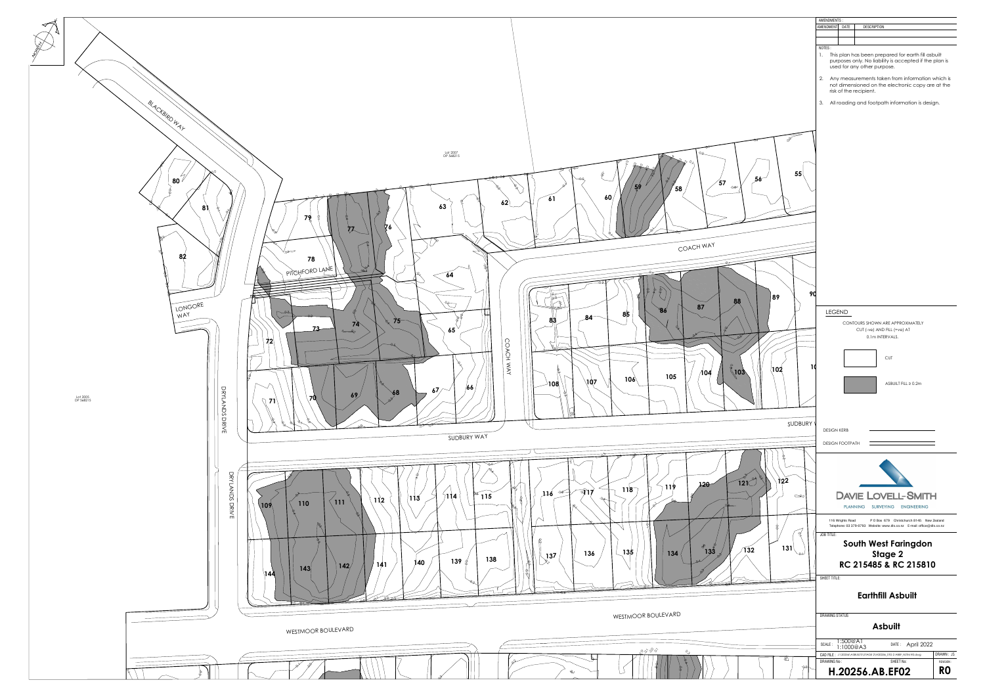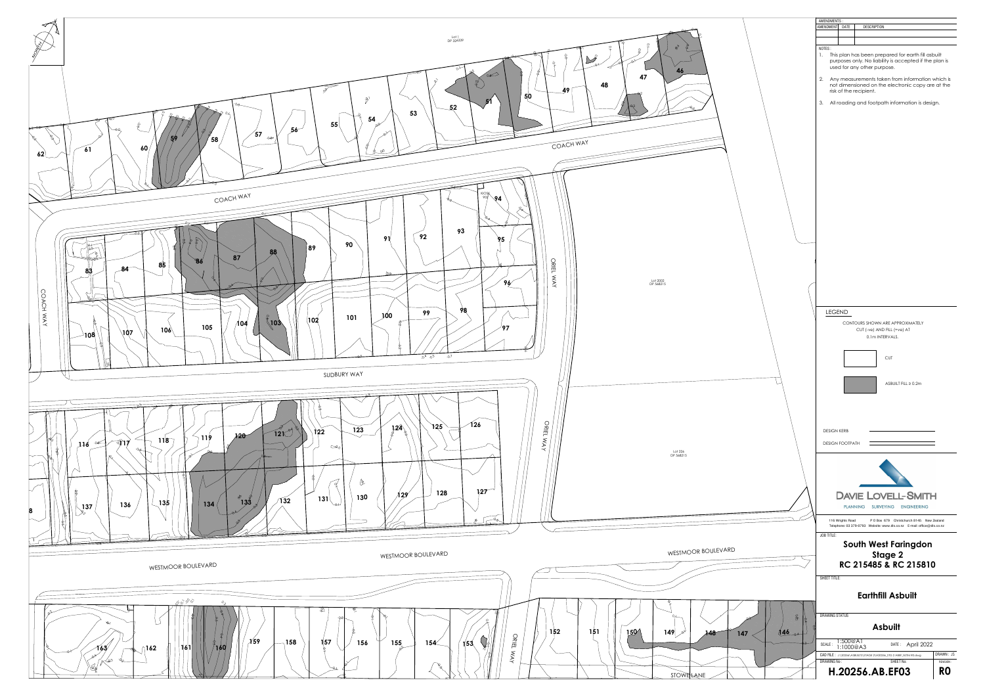